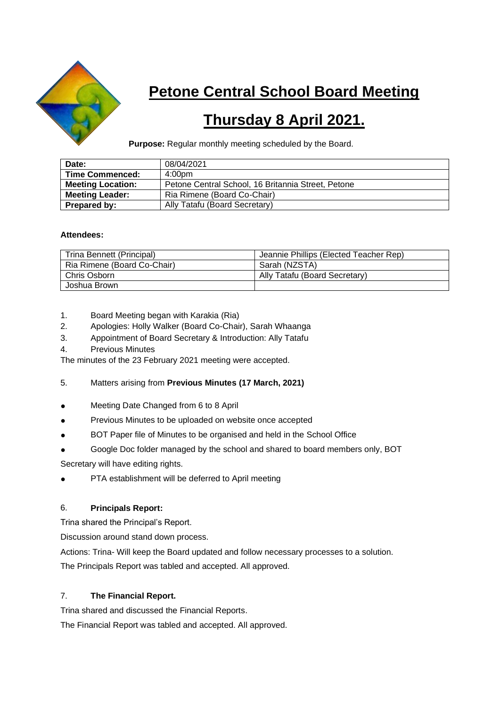

# **Petone Central School Board Meeting**

# **Thursday 8 April 2021.**

**Purpose:** Regular monthly meeting scheduled by the Board.

| Date:                    | 08/04/2021                                         |
|--------------------------|----------------------------------------------------|
| <b>Time Commenced:</b>   | 4:00pm                                             |
| <b>Meeting Location:</b> | Petone Central School, 16 Britannia Street, Petone |
| <b>Meeting Leader:</b>   | Ria Rimene (Board Co-Chair)                        |
| Prepared by:             | Ally Tatafu (Board Secretary)                      |

### **Attendees:**

| Trina Bennett (Principal)   | Jeannie Phillips (Elected Teacher Rep) |
|-----------------------------|----------------------------------------|
| Ria Rimene (Board Co-Chair) | Sarah (NZSTA)                          |
| Chris Osborn                | Ally Tatafu (Board Secretary)          |
| Joshua Brown                |                                        |

- 1. Board Meeting began with Karakia (Ria)
- 2. Apologies: Holly Walker (Board Co-Chair), Sarah Whaanga
- 3. Appointment of Board Secretary & Introduction: Ally Tatafu
- 4. Previous Minutes

The minutes of the 23 February 2021 meeting were accepted.

#### 5. Matters arising from **Previous Minutes (17 March, 2021)**

- Meeting Date Changed from 6 to 8 April
- Previous Minutes to be uploaded on website once accepted
- BOT Paper file of Minutes to be organised and held in the School Office
- Google Doc folder managed by the school and shared to board members only, BOT

Secretary will have editing rights.

PTA establishment will be deferred to April meeting

# 6. **Principals Report:**

Trina shared the Principal's Report.

Discussion around stand down process.

Actions: Trina- Will keep the Board updated and follow necessary processes to a solution.

The Principals Report was tabled and accepted. All approved.

#### 7. **The Financial Report.**

Trina shared and discussed the Financial Reports.

The Financial Report was tabled and accepted. All approved.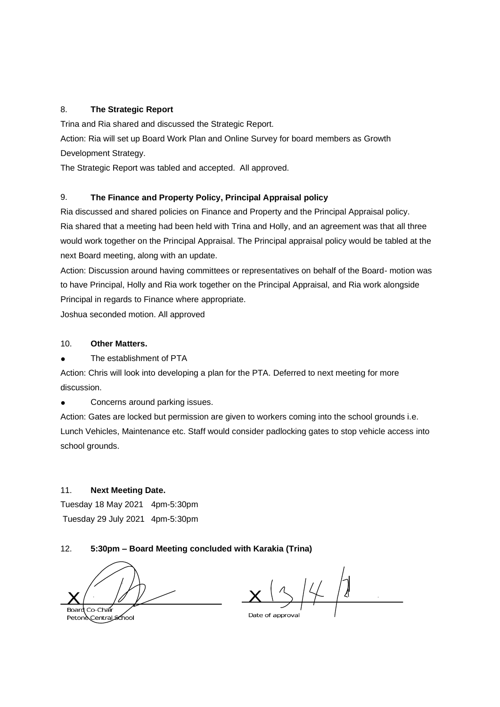### 8. **The Strategic Report**

Trina and Ria shared and discussed the Strategic Report.

Action: Ria will set up Board Work Plan and Online Survey for board members as Growth Development Strategy.

The Strategic Report was tabled and accepted. All approved.

## 9. **The Finance and Property Policy, Principal Appraisal policy**

Ria discussed and shared policies on Finance and Property and the Principal Appraisal policy. Ria shared that a meeting had been held with Trina and Holly, and an agreement was that all three would work together on the Principal Appraisal. The Principal appraisal policy would be tabled at the next Board meeting, along with an update.

Action: Discussion around having committees or representatives on behalf of the Board- motion was to have Principal, Holly and Ria work together on the Principal Appraisal, and Ria work alongside Principal in regards to Finance where appropriate.

Joshua seconded motion. All approved

### 10. **Other Matters.**

The establishment of PTA

Action: Chris will look into developing a plan for the PTA. Deferred to next meeting for more discussion.

● Concerns around parking issues.

Action: Gates are locked but permission are given to workers coming into the school grounds i.e. Lunch Vehicles, Maintenance etc. Staff would consider padlocking gates to stop vehicle access into school grounds.

#### 11. **Next Meeting Date.**

Tuesday 18 May 2021 4pm-5:30pm Tuesday 29 July 2021 4pm-5:30pm

# 12. **5:30pm – Board Meeting concluded with Karakia (Trina)**

 $Co-Chan$ Board

Petone Central School